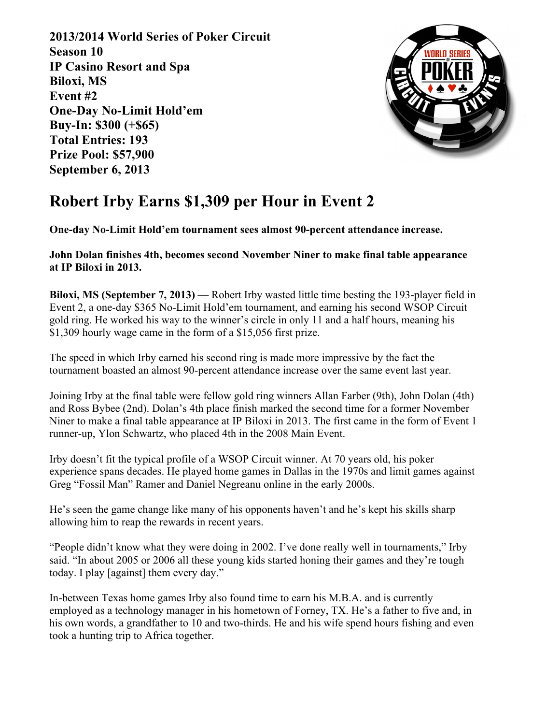**2013/2014 World Series of Poker Circuit Season 10 IP Casino Resort and Spa Biloxi, MS Event #2 One-Day No-Limit Hold'em Buy-In: \$300 (+\$65) Total Entries: 193 Prize Pool: \$57,900 September 6, 2013**



## **Robert Irby Earns \$1,309 per Hour in Event 2**

**One-day No-Limit Hold'em tournament sees almost 90-percent attendance increase.**

**John Dolan finishes 4th, becomes second November Niner to make final table appearance at IP Biloxi in 2013.**

**Biloxi, MS (September 7, 2013)** — Robert Irby wasted little time besting the 193-player field in Event 2, a one-day \$365 No-Limit Hold'em tournament, and earning his second WSOP Circuit gold ring. He worked his way to the winner's circle in only 11 and a half hours, meaning his \$1,309 hourly wage came in the form of a \$15,056 first prize.

The speed in which Irby earned his second ring is made more impressive by the fact the tournament boasted an almost 90-percent attendance increase over the same event last year.

Joining Irby at the final table were fellow gold ring winners Allan Farber (9th), John Dolan (4th) and Ross Bybee (2nd). Dolan's 4th place finish marked the second time for a former November Niner to make a final table appearance at IP Biloxi in 2013. The first came in the form of Event 1 runner-up, Ylon Schwartz, who placed 4th in the 2008 Main Event.

Irby doesn't fit the typical profile of a WSOP Circuit winner. At 70 years old, his poker experience spans decades. He played home games in Dallas in the 1970s and limit games against Greg "Fossil Man" Ramer and Daniel Negreanu online in the early 2000s.

He's seen the game change like many of his opponents haven't and he's kept his skills sharp allowing him to reap the rewards in recent years.

"People didn't know what they were doing in 2002. I've done really well in tournaments," Irby said. "In about 2005 or 2006 all these young kids started honing their games and they're tough today. I play [against] them every day."

In-between Texas home games Irby also found time to earn his M.B.A. and is currently employed as a technology manager in his hometown of Forney, TX. He's a father to five and, in his own words, a grandfather to 10 and two-thirds. He and his wife spend hours fishing and even took a hunting trip to Africa together.